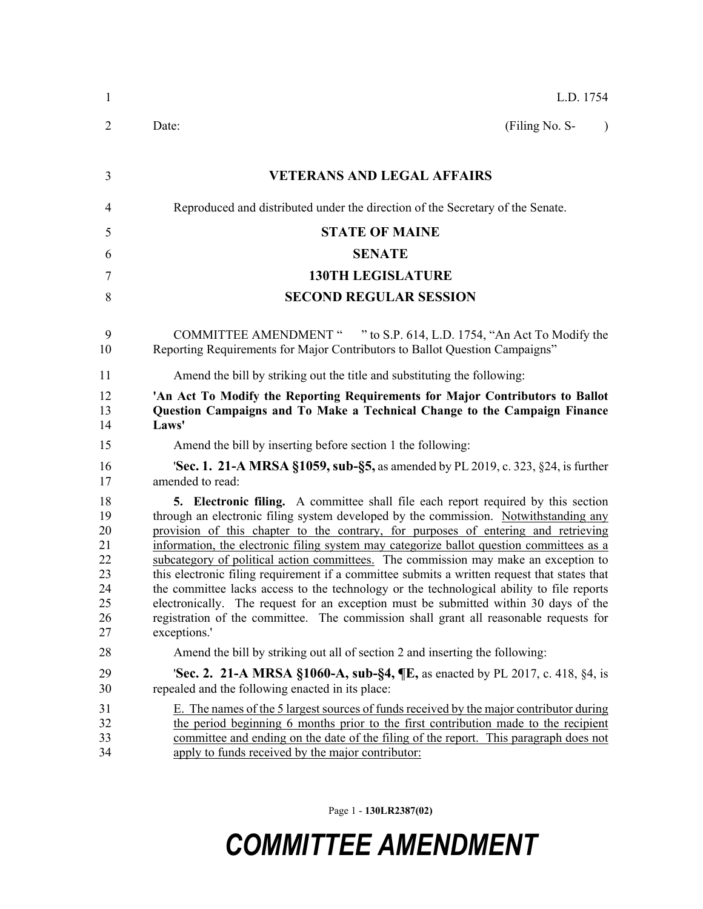| $\mathbf{1}$                                             | L.D. 1754                                                                                                                                                                                                                                                                                                                                                                                                                                                                                                                                                                                                                                                                                                                                                                                                                                               |
|----------------------------------------------------------|---------------------------------------------------------------------------------------------------------------------------------------------------------------------------------------------------------------------------------------------------------------------------------------------------------------------------------------------------------------------------------------------------------------------------------------------------------------------------------------------------------------------------------------------------------------------------------------------------------------------------------------------------------------------------------------------------------------------------------------------------------------------------------------------------------------------------------------------------------|
| 2                                                        | (Filing No. S-<br>Date:<br>$\lambda$                                                                                                                                                                                                                                                                                                                                                                                                                                                                                                                                                                                                                                                                                                                                                                                                                    |
| 3                                                        | <b>VETERANS AND LEGAL AFFAIRS</b>                                                                                                                                                                                                                                                                                                                                                                                                                                                                                                                                                                                                                                                                                                                                                                                                                       |
| 4                                                        | Reproduced and distributed under the direction of the Secretary of the Senate.                                                                                                                                                                                                                                                                                                                                                                                                                                                                                                                                                                                                                                                                                                                                                                          |
| 5                                                        | <b>STATE OF MAINE</b>                                                                                                                                                                                                                                                                                                                                                                                                                                                                                                                                                                                                                                                                                                                                                                                                                                   |
| 6                                                        | <b>SENATE</b>                                                                                                                                                                                                                                                                                                                                                                                                                                                                                                                                                                                                                                                                                                                                                                                                                                           |
| 7                                                        | <b>130TH LEGISLATURE</b>                                                                                                                                                                                                                                                                                                                                                                                                                                                                                                                                                                                                                                                                                                                                                                                                                                |
| 8                                                        | <b>SECOND REGULAR SESSION</b>                                                                                                                                                                                                                                                                                                                                                                                                                                                                                                                                                                                                                                                                                                                                                                                                                           |
| 9<br>10                                                  | COMMITTEE AMENDMENT " " to S.P. 614, L.D. 1754, "An Act To Modify the<br>Reporting Requirements for Major Contributors to Ballot Question Campaigns"                                                                                                                                                                                                                                                                                                                                                                                                                                                                                                                                                                                                                                                                                                    |
| 11                                                       | Amend the bill by striking out the title and substituting the following:                                                                                                                                                                                                                                                                                                                                                                                                                                                                                                                                                                                                                                                                                                                                                                                |
| 12<br>13<br>14                                           | 'An Act To Modify the Reporting Requirements for Major Contributors to Ballot<br>Question Campaigns and To Make a Technical Change to the Campaign Finance<br>Laws'                                                                                                                                                                                                                                                                                                                                                                                                                                                                                                                                                                                                                                                                                     |
| 15                                                       | Amend the bill by inserting before section 1 the following:                                                                                                                                                                                                                                                                                                                                                                                                                                                                                                                                                                                                                                                                                                                                                                                             |
| 16<br>17                                                 | 'Sec. 1. 21-A MRSA §1059, sub-§5, as amended by PL 2019, c. 323, §24, is further<br>amended to read:                                                                                                                                                                                                                                                                                                                                                                                                                                                                                                                                                                                                                                                                                                                                                    |
| 18<br>19<br>20<br>21<br>22<br>23<br>24<br>25<br>26<br>27 | <b>5. Electronic filing.</b> A committee shall file each report required by this section<br>through an electronic filing system developed by the commission. Notwithstanding any<br>provision of this chapter to the contrary, for purposes of entering and retrieving<br>information, the electronic filing system may categorize ballot question committees as a<br>subcategory of political action committees. The commission may make an exception to<br>this electronic filing requirement if a committee submits a written request that states that<br>the committee lacks access to the technology or the technological ability to file reports<br>electronically. The request for an exception must be submitted within 30 days of the<br>registration of the committee. The commission shall grant all reasonable requests for<br>exceptions.' |
| 28                                                       | Amend the bill by striking out all of section 2 and inserting the following:                                                                                                                                                                                                                                                                                                                                                                                                                                                                                                                                                                                                                                                                                                                                                                            |
| 29<br>30                                                 | <b>Sec. 2. 21-A MRSA §1060-A, sub-§4, <math>\P</math>E</b> , as enacted by PL 2017, c. 418, §4, is<br>repealed and the following enacted in its place:                                                                                                                                                                                                                                                                                                                                                                                                                                                                                                                                                                                                                                                                                                  |
| 31<br>32<br>33<br>34                                     | E. The names of the 5 largest sources of funds received by the major contributor during<br>the period beginning 6 months prior to the first contribution made to the recipient<br>committee and ending on the date of the filing of the report. This paragraph does not<br>apply to funds received by the major contributor:                                                                                                                                                                                                                                                                                                                                                                                                                                                                                                                            |

Page 1 - **130LR2387(02)**

## *COMMITTEE AMENDMENT*